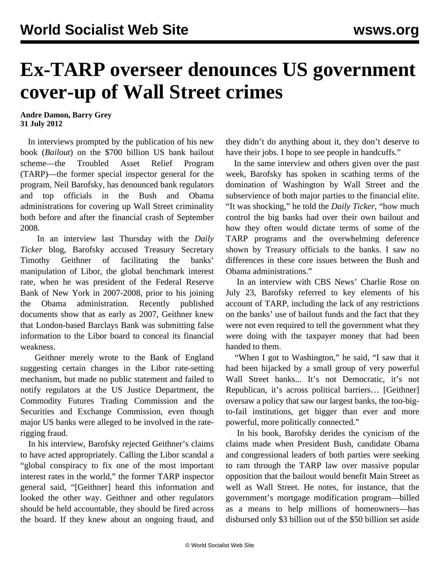## **Ex-TARP overseer denounces US government cover-up of Wall Street crimes**

**Andre Damon, Barry Grey 31 July 2012**

 In interviews prompted by the publication of his new book (*Bailout*) on the \$700 billion US bank bailout scheme—the Troubled Asset Relief Program (TARP)—the former special inspector general for the program, Neil Barofsky, has denounced bank regulators and top officials in the Bush and Obama administrations for covering up Wall Street criminality both before and after the financial crash of September 2008.

 In an interview last Thursday with the *Daily Ticker* blog, Barofsky accused Treasury Secretary Timothy Geithner of facilitating the banks' manipulation of Libor, the global benchmark interest rate, when he was president of the Federal Reserve Bank of New York in 2007-2008, prior to his joining the Obama administration. Recently published documents show that as early as 2007, Geithner knew that London-based Barclays Bank was submitting false information to the Libor board to conceal its financial weakness.

 Geithner merely wrote to the Bank of England suggesting certain changes in the Libor rate-setting mechanism, but made no public statement and failed to notify regulators at the US Justice Department, the Commodity Futures Trading Commission and the Securities and Exchange Commission, even though major US banks were alleged to be involved in the raterigging fraud.

 In his interview, Barofsky rejected Geithner's claims to have acted appropriately. Calling the Libor scandal a "global conspiracy to fix one of the most important interest rates in the world," the former TARP inspector general said, "[Geithner] heard this information and looked the other way. Geithner and other regulators should be held accountable, they should be fired across the board. If they knew about an ongoing fraud, and they didn't do anything about it, they don't deserve to have their jobs. I hope to see people in handcuffs."

 In the same interview and others given over the past week, Barofsky has spoken in scathing terms of the domination of Washington by Wall Street and the subservience of both major parties to the financial elite. "It was shocking," he told the *Daily Ticker*, "how much control the big banks had over their own bailout and how they often would dictate terms of some of the TARP programs and the overwhelming deference shown by Treasury officials to the banks. I saw no differences in these core issues between the Bush and Obama administrations."

 In an interview with CBS News' Charlie Rose on July 23, Barofsky referred to key elements of his account of TARP, including the lack of any restrictions on the banks' use of bailout funds and the fact that they were not even required to tell the government what they were doing with the taxpayer money that had been handed to them.

"When I got to Washington," he said, "I saw that it had been hijacked by a small group of very powerful Wall Street banks... It's not Democratic, it's not Republican, it's across political barriers… [Geithner] oversaw a policy that saw our largest banks, the too-bigto-fail institutions, get bigger than ever and more powerful, more politically connected."

 In his book, Barofsky derides the cynicism of the claims made when President Bush, candidate Obama and congressional leaders of both parties were seeking to ram through the TARP law over massive popular opposition that the bailout would benefit Main Street as well as Wall Street. He notes, for instance, that the government's mortgage modification program—billed as a means to help millions of homeowners—has disbursed only \$3 billion out of the \$50 billion set aside